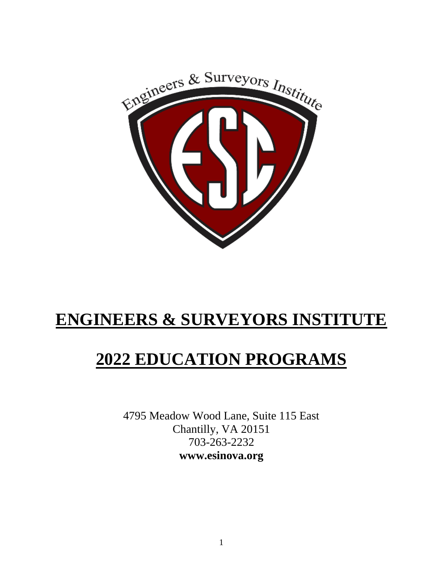

# **ENGINEERS & SURVEYORS INSTITUTE**

# **2022 EDUCATION PROGRAMS**

4795 Meadow Wood Lane, Suite 115 East Chantilly, VA 20151 703-263-2232 **www.esinova.org**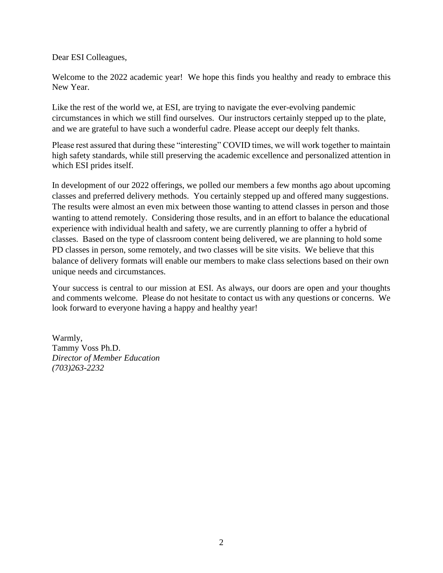Dear ESI Colleagues,

Welcome to the 2022 academic year! We hope this finds you healthy and ready to embrace this New Year.

Like the rest of the world we, at ESI, are trying to navigate the ever-evolving pandemic circumstances in which we still find ourselves. Our instructors certainly stepped up to the plate, and we are grateful to have such a wonderful cadre. Please accept our deeply felt thanks.

Please rest assured that during these "interesting" COVID times, we will work together to maintain high safety standards, while still preserving the academic excellence and personalized attention in which ESI prides itself.

In development of our 2022 offerings, we polled our members a few months ago about upcoming classes and preferred delivery methods. You certainly stepped up and offered many suggestions. The results were almost an even mix between those wanting to attend classes in person and those wanting to attend remotely. Considering those results, and in an effort to balance the educational experience with individual health and safety, we are currently planning to offer a hybrid of classes. Based on the type of classroom content being delivered, we are planning to hold some PD classes in person, some remotely, and two classes will be site visits. We believe that this balance of delivery formats will enable our members to make class selections based on their own unique needs and circumstances.

Your success is central to our mission at ESI. As always, our doors are open and your thoughts and comments welcome. Please do not hesitate to contact us with any questions or concerns. We look forward to everyone having a happy and healthy year!

Warmly, Tammy Voss Ph.D. *Director of Member Education (703)263-2232*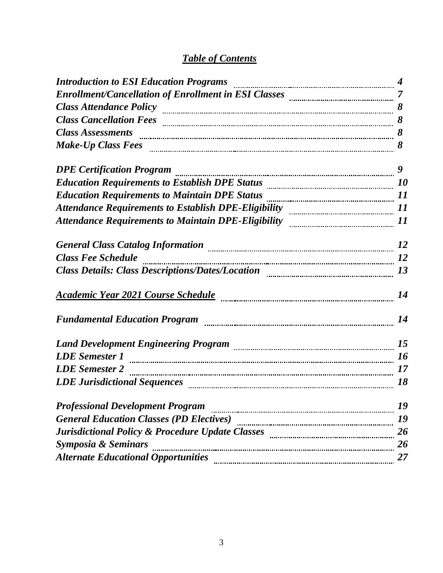### *Table of Contents*

| Introduction to ESI Education Programs manufactured and the control of the set of the control of the set of th    |    |
|-------------------------------------------------------------------------------------------------------------------|----|
|                                                                                                                   |    |
| Class Attendance Policy manufactured and the Second State and State and State and State and State and State and S |    |
|                                                                                                                   | 8  |
| Class Assessments manual contract of the set of the set of the set of the set of the set of the set of the set o  |    |
|                                                                                                                   |    |
| <b>DPE Certification Program</b>                                                                                  |    |
| Education Requirements to Establish DPE Status <b>manually contained</b> 10                                       |    |
| Education Requirements to Maintain DPE Status <b>manually contract and the Californian</b> 11                     |    |
| Attendance Requirements to Establish DPE-Eligibility manual content of 11                                         |    |
| Attendance Requirements to Maintain DPE-Eligibility manual communications 11                                      |    |
| General Class Catalog Information <b>manufacture of the Class Catalog Information</b> 12                          |    |
| <b>Class Fee Schedule</b>                                                                                         |    |
| Class Details: Class Descriptions/Dates/Location manual contents and 13                                           |    |
|                                                                                                                   |    |
|                                                                                                                   | 14 |
| Land Development Engineering Program [15] [15] [15] Land Development Engineering Program [15] [15] [15] [15] [    |    |
| <b>LDE</b> Semester 1                                                                                             |    |
| LDE Semester 2 <b>manual contract and the Semester 2</b> 17                                                       |    |
|                                                                                                                   | 18 |
| <b>Professional Development Program</b>                                                                           | 19 |
| <b>General Education Classes (PD Electives)</b>                                                                   | 19 |
| Jurisdictional Policy & Procedure Update Classes [10011] [10011] Jurisdictional Policy & Procedure Update Classes | 26 |
| Symposia & Seminars                                                                                               | 26 |
| <b>Alternate Educational Opportunities</b>                                                                        | 27 |
|                                                                                                                   |    |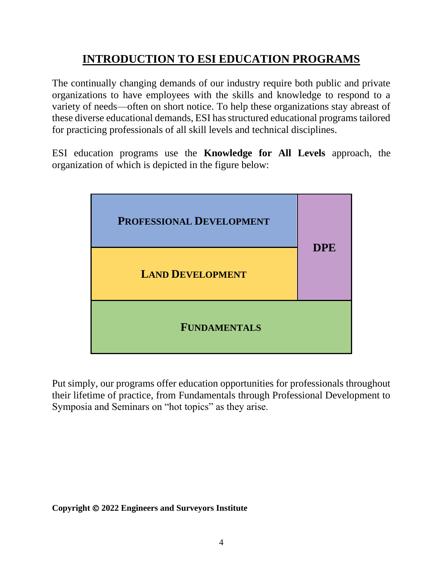## **INTRODUCTION TO ESI EDUCATION PROGRAMS**

The continually changing demands of our industry require both public and private organizations to have employees with the skills and knowledge to respond to a variety of needs—often on short notice. To help these organizations stay abreast of these diverse educational demands, ESI has structured educational programs tailored for practicing professionals of all skill levels and technical disciplines.

ESI education programs use the **Knowledge for All Levels** approach, the organization of which is depicted in the figure below:



Put simply, our programs offer education opportunities for professionals throughout their lifetime of practice, from Fundamentals through Professional Development to Symposia and Seminars on "hot topics" as they arise.

**Copyright** © **2022 Engineers and Surveyors Institute**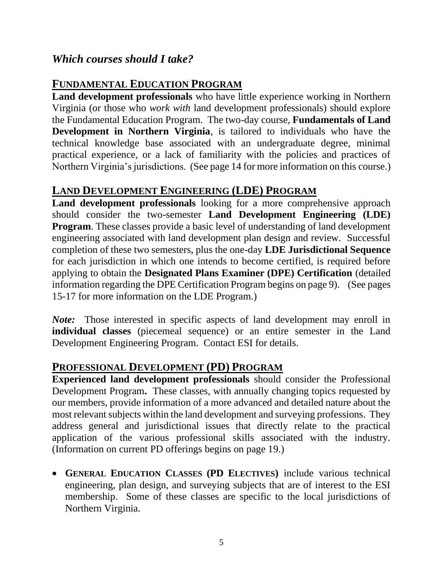### *Which courses should I take?*

### **FUNDAMENTAL EDUCATION PROGRAM**

**Land development professionals** who have little experience working in Northern Virginia (or those who *work with* land development professionals) should explore the Fundamental Education Program. The two-day course, **Fundamentals of Land Development in Northern Virginia**, is tailored to individuals who have the technical knowledge base associated with an undergraduate degree, minimal practical experience, or a lack of familiarity with the policies and practices of Northern Virginia's jurisdictions. (See page 14 for more information on this course.)

### **LAND DEVELOPMENT ENGINEERING (LDE) PROGRAM**

**Land development professionals** looking for a more comprehensive approach should consider the two-semester **Land Development Engineering (LDE) Program**. These classes provide a basic level of understanding of land development engineering associated with land development plan design and review. Successful completion of these two semesters, plus the one-day **LDE Jurisdictional Sequence**  for each jurisdiction in which one intends to become certified, is required before applying to obtain the **Designated Plans Examiner (DPE) Certification** (detailed information regarding the DPE Certification Program begins on page 9).(See pages 15-17 for more information on the LDE Program.)

*Note:* Those interested in specific aspects of land development may enroll in **individual classes** (piecemeal sequence) or an entire semester in the Land Development Engineering Program. Contact ESI for details.

### **PROFESSIONAL DEVELOPMENT (PD) PROGRAM**

**Experienced land development professionals** should consider the Professional Development Program**.** These classes, with annually changing topics requested by our members, provide information of a more advanced and detailed nature about the most relevant subjects within the land development and surveying professions. They address general and jurisdictional issues that directly relate to the practical application of the various professional skills associated with the industry. (Information on current PD offerings begins on page 19.)

• **GENERAL EDUCATION CLASSES (PD ELECTIVES)** include various technical engineering, plan design, and surveying subjects that are of interest to the ESI membership. Some of these classes are specific to the local jurisdictions of Northern Virginia.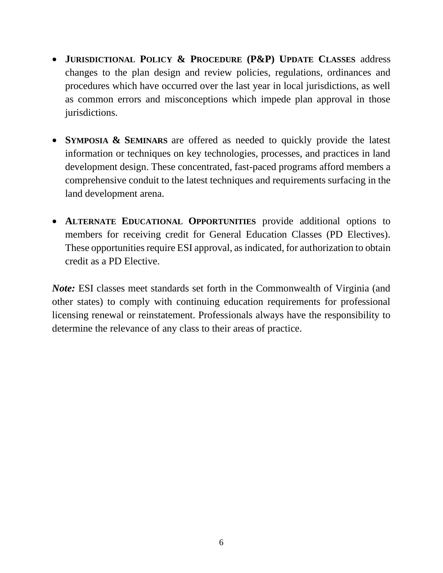- **JURISDICTIONAL POLICY & PROCEDURE (P&P) UPDATE CLASSES** address changes to the plan design and review policies, regulations, ordinances and procedures which have occurred over the last year in local jurisdictions, as well as common errors and misconceptions which impede plan approval in those jurisdictions.
- **SYMPOSIA & SEMINARS** are offered as needed to quickly provide the latest information or techniques on key technologies, processes, and practices in land development design. These concentrated, fast-paced programs afford members a comprehensive conduit to the latest techniques and requirements surfacing in the land development arena.
- **ALTERNATE EDUCATIONAL OPPORTUNITIES** provide additional options to members for receiving credit for General Education Classes (PD Electives). These opportunities require ESI approval, as indicated, for authorization to obtain credit as a PD Elective.

*Note:* ESI classes meet standards set forth in the Commonwealth of Virginia (and other states) to comply with continuing education requirements for professional licensing renewal or reinstatement. Professionals always have the responsibility to determine the relevance of any class to their areas of practice.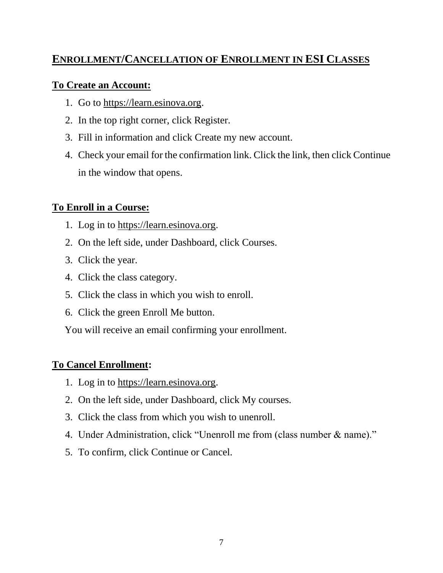### **ENROLLMENT/CANCELLATION OF ENROLLMENT IN ESI CLASSES**

#### **To Create an Account:**

- 1. Go to https://learn.esinova.org.
- 2. In the top right corner, click Register.
- 3. Fill in information and click Create my new account.
- 4. Check your email for the confirmation link. Click the link, then click Continue in the window that opens.

### **To Enroll in a Course:**

- 1. Log in to https://learn.esinova.org.
- 2. On the left side, under Dashboard, click Courses.
- 3. Click the year.
- 4. Click the class category.
- 5. Click the class in which you wish to enroll.
- 6. Click the green Enroll Me button.

You will receive an email confirming your enrollment.

### **To Cancel Enrollment:**

- 1. Log in to https://learn.esinova.org.
- 2. On the left side, under Dashboard, click My courses.
- 3. Click the class from which you wish to unenroll.
- 4. Under Administration, click "Unenroll me from (class number & name)."
- 5. To confirm, click Continue or Cancel.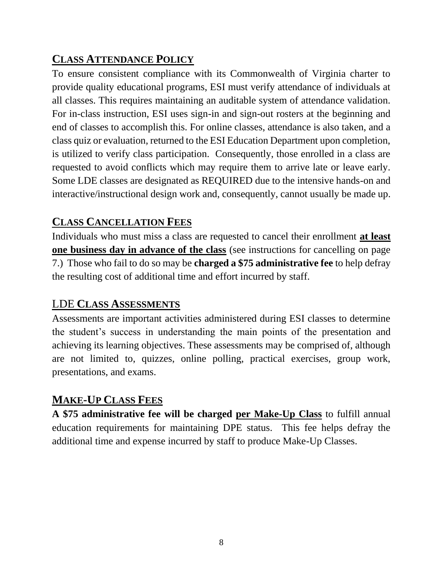### **CLASS ATTENDANCE POLICY**

To ensure consistent compliance with its Commonwealth of Virginia charter to provide quality educational programs, ESI must verify attendance of individuals at all classes. This requires maintaining an auditable system of attendance validation. For in-class instruction, ESI uses sign-in and sign-out rosters at the beginning and end of classes to accomplish this. For online classes, attendance is also taken, and a class quiz or evaluation, returned to the ESI Education Department upon completion, is utilized to verify class participation. Consequently, those enrolled in a class are requested to avoid conflicts which may require them to arrive late or leave early. Some LDE classes are designated as REQUIRED due to the intensive hands-on and interactive/instructional design work and, consequently, cannot usually be made up.

### **CLASS CANCELLATION FEES**

Individuals who must miss a class are requested to cancel their enrollment **at least one business day in advance of the class** (see instructions for cancelling on page 7.)Those who fail to do so may be **charged a \$75 administrative fee** to help defray the resulting cost of additional time and effort incurred by staff.

### LDE **CLASS ASSESSMENTS**

Assessments are important activities administered during ESI classes to determine the student's success in understanding the main points of the presentation and achieving its learning objectives. These assessments may be comprised of, although are not limited to, quizzes, online polling, practical exercises, group work, presentations, and exams.

### **MAKE-UP CLASS FEES**

**A \$75 administrative fee will be charged per Make-Up Class** to fulfill annual education requirements for maintaining DPE status. This fee helps defray the additional time and expense incurred by staff to produce Make-Up Classes.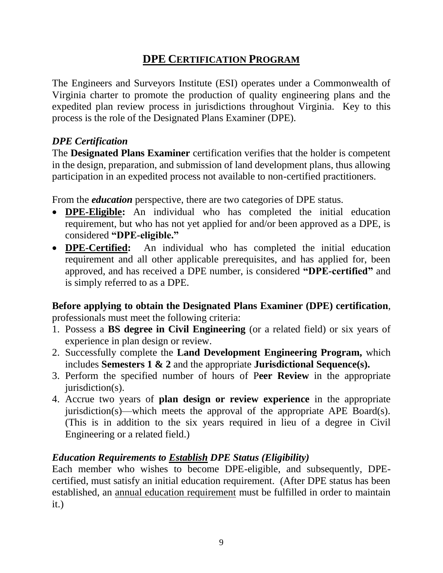### **DPE CERTIFICATION PROGRAM**

The Engineers and Surveyors Institute (ESI) operates under a Commonwealth of Virginia charter to promote the production of quality engineering plans and the expedited plan review process in jurisdictions throughout Virginia. Key to this process is the role of the Designated Plans Examiner (DPE).

#### *DPE Certification*

The **Designated Plans Examiner** certification verifies that the holder is competent in the design, preparation, and submission of land development plans, thus allowing participation in an expedited process not available to non-certified practitioners.

From the *education* perspective, there are two categories of DPE status.

- **DPE-Eligible:** An individual who has completed the initial education requirement, but who has not yet applied for and/or been approved as a DPE, is considered **"DPE-eligible."**
- **DPE-Certified:** An individual who has completed the initial education requirement and all other applicable prerequisites, and has applied for, been approved, and has received a DPE number, is considered **"DPE-certified"** and is simply referred to as a DPE.

**Before applying to obtain the Designated Plans Examiner (DPE) certification**, professionals must meet the following criteria:

- 1. Possess a **BS degree in Civil Engineering** (or a related field) or six years of experience in plan design or review.
- 2. Successfully complete the **Land Development Engineering Program,** which includes **Semesters 1 & 2** and the appropriate **Jurisdictional Sequence(s).**
- 3. Perform the specified number of hours of P**eer Review** in the appropriate  $i$ urisdiction(s).
- 4. Accrue two years of **plan design or review experience** in the appropriate jurisdiction(s)—which meets the approval of the appropriate APE Board(s). (This is in addition to the six years required in lieu of a degree in Civil Engineering or a related field.)

#### *Education Requirements to Establish DPE Status (Eligibility)*

Each member who wishes to become DPE-eligible, and subsequently, DPEcertified, must satisfy an initial education requirement. (After DPE status has been established, an annual education requirement must be fulfilled in order to maintain it.)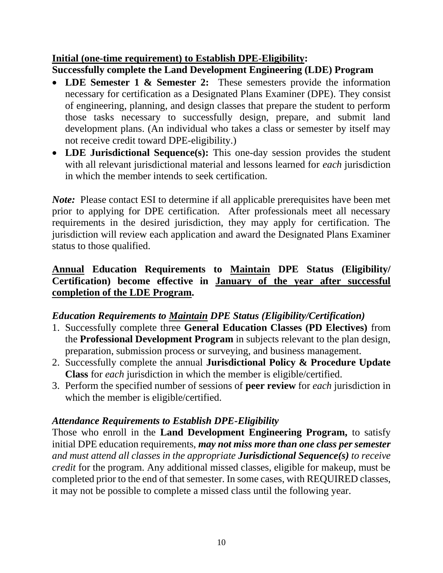#### **Initial (one-time requirement) to Establish DPE-Eligibility: Successfully complete the Land Development Engineering (LDE) Program**

- **LDE Semester 1 & Semester 2:** These semesters provide the information necessary for certification as a Designated Plans Examiner (DPE). They consist of engineering, planning, and design classes that prepare the student to perform those tasks necessary to successfully design, prepare, and submit land development plans. (An individual who takes a class or semester by itself may not receive credit toward DPE-eligibility.)
- **LDE Jurisdictional Sequence(s):** This one-day session provides the student with all relevant jurisdictional material and lessons learned for *each* jurisdiction in which the member intends to seek certification.

*Note:* Please contact ESI to determine if all applicable prerequisites have been met prior to applying for DPE certification. After professionals meet all necessary requirements in the desired jurisdiction, they may apply for certification. The jurisdiction will review each application and award the Designated Plans Examiner status to those qualified.

### **Annual Education Requirements to Maintain DPE Status (Eligibility/ Certification) become effective in January of the year after successful completion of the LDE Program.**

### *Education Requirements to Maintain DPE Status (Eligibility/Certification)*

- 1. Successfully complete three **General Education Classes (PD Electives)** from the **Professional Development Program** in subjects relevant to the plan design, preparation, submission process or surveying, and business management.
- 2. Successfully complete the annual **Jurisdictional Policy & Procedure Update Class** for *each* jurisdiction in which the member is eligible/certified.
- 3. Perform the specified number of sessions of **peer review** for *each* jurisdiction in which the member is eligible/certified.

### *Attendance Requirements to Establish DPE-Eligibility*

Those who enroll in the **Land Development Engineering Program,** to satisfy initial DPE education requirements, *may not miss more than one class per semester and must attend all classes in the appropriate Jurisdictional Sequence(s) to receive credit* for the program. Any additional missed classes, eligible for makeup, must be completed prior to the end of that semester. In some cases, with REQUIRED classes, it may not be possible to complete a missed class until the following year.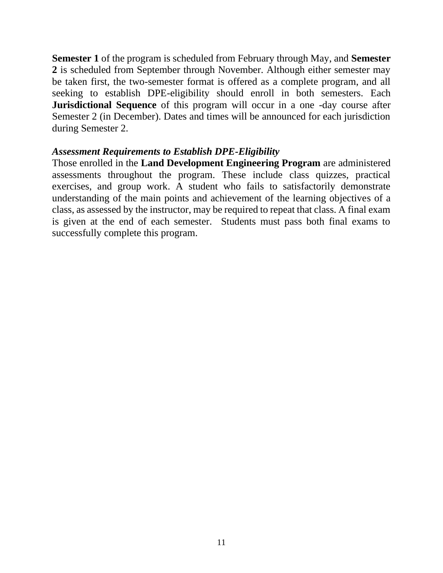**Semester 1** of the program is scheduled from February through May, and **Semester 2** is scheduled from September through November. Although either semester may be taken first, the two-semester format is offered as a complete program, and all seeking to establish DPE-eligibility should enroll in both semesters. Each **Jurisdictional Sequence** of this program will occur in a one -day course after Semester 2 (in December). Dates and times will be announced for each jurisdiction during Semester 2.

#### *Assessment Requirements to Establish DPE-Eligibility*

Those enrolled in the **Land Development Engineering Program** are administered assessments throughout the program. These include class quizzes, practical exercises, and group work. A student who fails to satisfactorily demonstrate understanding of the main points and achievement of the learning objectives of a class, as assessed by the instructor, may be required to repeat that class. A final exam is given at the end of each semester. Students must pass both final exams to successfully complete this program.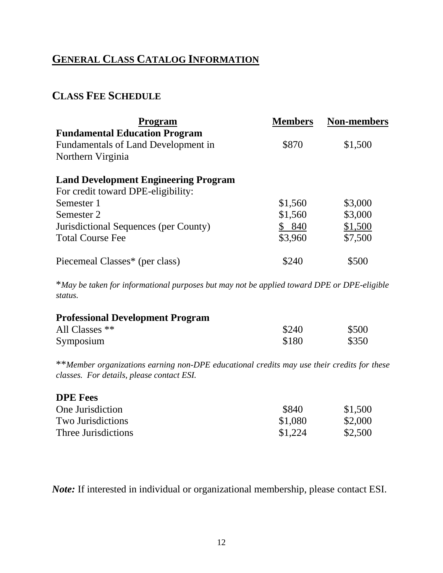## **GENERAL CLASS CATALOG INFORMATION**

### **CLASS FEE SCHEDULE**

| <b>Program</b>                              | <b>Members</b> | <b>Non-members</b> |
|---------------------------------------------|----------------|--------------------|
| <b>Fundamental Education Program</b>        |                |                    |
| Fundamentals of Land Development in         | \$870          | \$1,500            |
| Northern Virginia                           |                |                    |
| <b>Land Development Engineering Program</b> |                |                    |
| For credit toward DPE-eligibility:          |                |                    |
| Semester 1                                  | \$1,560        | \$3,000            |
| Semester 2                                  | \$1,560        | \$3,000            |
| Jurisdictional Sequences (per County)       | 840            | \$1,500            |
| <b>Total Course Fee</b>                     | \$3,960        | \$7,500            |
| Piecemeal Classes* (per class)              | \$240          | \$500              |

\**May be taken for informational purposes but may not be applied toward DPE or DPE-eligible status.*

| <b>Professional Development Program</b> |       |       |
|-----------------------------------------|-------|-------|
| All Classes $**$                        | \$240 | \$500 |
| Symposium                               | \$180 | \$350 |

\*\**Member organizations earning non-DPE educational credits may use their credits for these classes. For details, please contact ESI.*

| <b>DPE</b> Fees          |         |         |
|--------------------------|---------|---------|
| One Jurisdiction         | \$840   | \$1,500 |
| <b>Two Jurisdictions</b> | \$1,080 | \$2,000 |
| Three Jurisdictions      | \$1,224 | \$2,500 |

*Note:* If interested in individual or organizational membership, please contact ESI.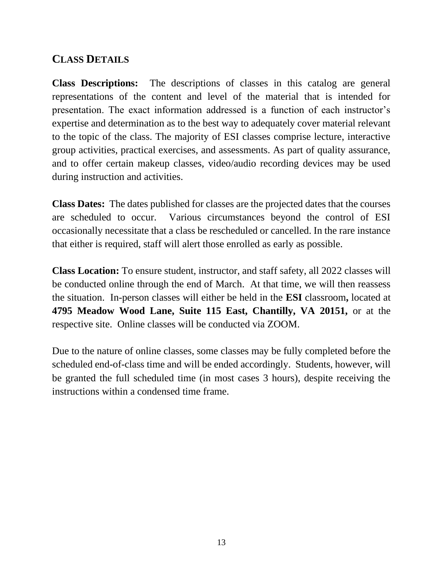### **CLASS DETAILS**

**Class Descriptions:** The descriptions of classes in this catalog are general representations of the content and level of the material that is intended for presentation. The exact information addressed is a function of each instructor's expertise and determination as to the best way to adequately cover material relevant to the topic of the class. The majority of ESI classes comprise lecture, interactive group activities, practical exercises, and assessments. As part of quality assurance, and to offer certain makeup classes, video/audio recording devices may be used during instruction and activities.

**Class Dates:** The dates published for classes are the projected dates that the courses are scheduled to occur. Various circumstances beyond the control of ESI occasionally necessitate that a class be rescheduled or cancelled. In the rare instance that either is required, staff will alert those enrolled as early as possible.

**Class Location:** To ensure student, instructor, and staff safety, all 2022 classes will be conducted online through the end of March. At that time, we will then reassess the situation. In-person classes will either be held in the **ESI** classroom**,** located at **4795 Meadow Wood Lane, Suite 115 East, Chantilly, VA 20151,** or at the respective site. Online classes will be conducted via ZOOM.

Due to the nature of online classes, some classes may be fully completed before the scheduled end-of-class time and will be ended accordingly. Students, however, will be granted the full scheduled time (in most cases 3 hours), despite receiving the instructions within a condensed time frame.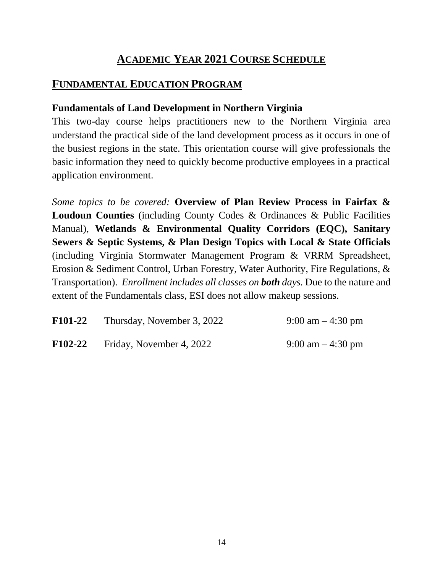### **ACADEMIC YEAR 2021 COURSE SCHEDULE**

### **FUNDAMENTAL EDUCATION PROGRAM**

#### **Fundamentals of Land Development in Northern Virginia**

This two-day course helps practitioners new to the Northern Virginia area understand the practical side of the land development process as it occurs in one of the busiest regions in the state. This orientation course will give professionals the basic information they need to quickly become productive employees in a practical application environment.

*Some topics to be covered:* **Overview of Plan Review Process in Fairfax & Loudoun Counties** (including County Codes & Ordinances & Public Facilities Manual), **Wetlands & Environmental Quality Corridors (EQC), Sanitary Sewers & Septic Systems, & Plan Design Topics with Local & State Officials**  (including Virginia Stormwater Management Program & VRRM Spreadsheet, Erosion & Sediment Control, Urban Forestry, Water Authority, Fire Regulations, & Transportation). *Enrollment includes all classes on both days.* Due to the nature and extent of the Fundamentals class, ESI does not allow makeup sessions.

| <b>F101-22</b> | Thursday, November 3, 2022 | 9:00 am $-$ 4:30 pm |
|----------------|----------------------------|---------------------|
| $F102-22$      | Friday, November 4, 2022   | 9:00 am $-$ 4:30 pm |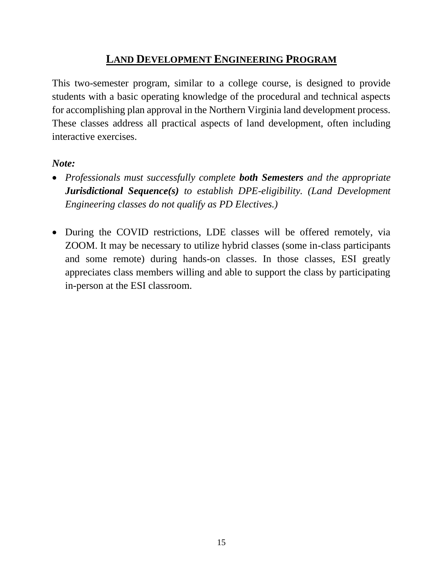### **LAND DEVELOPMENT ENGINEERING PROGRAM**

This two-semester program, similar to a college course, is designed to provide students with a basic operating knowledge of the procedural and technical aspects for accomplishing plan approval in the Northern Virginia land development process. These classes address all practical aspects of land development, often including interactive exercises.

#### *Note:*

- *Professionals must successfully complete both Semesters and the appropriate Jurisdictional Sequence(s) to establish DPE-eligibility. (Land Development Engineering classes do not qualify as PD Electives.)*
- During the COVID restrictions, LDE classes will be offered remotely, via ZOOM. It may be necessary to utilize hybrid classes (some in-class participants and some remote) during hands-on classes. In those classes, ESI greatly appreciates class members willing and able to support the class by participating in-person at the ESI classroom.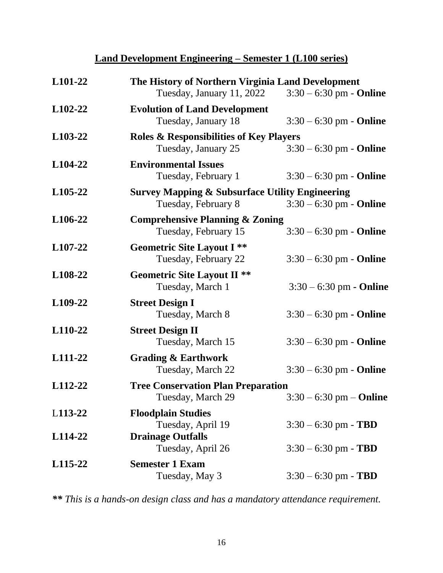### **Land Development Engineering – Semester 1 (L100 series)**

| L101-22              | The History of Northern Virginia Land Development<br>Tuesday, January 11, 2022<br>$3:30 - 6:30$ pm - <b>Online</b> |                                  |
|----------------------|--------------------------------------------------------------------------------------------------------------------|----------------------------------|
| L <sub>102</sub> -22 | <b>Evolution of Land Development</b><br>Tuesday, January 18                                                        | $3:30 - 6:30$ pm - <b>Online</b> |
| L103-22              | <b>Roles &amp; Responsibilities of Key Players</b><br>Tuesday, January 25                                          | $3:30 - 6:30$ pm - Online        |
| L104-22              | <b>Environmental Issues</b><br>Tuesday, February 1                                                                 | $3:30 - 6:30$ pm - <b>Online</b> |
| L <sub>105</sub> -22 | <b>Survey Mapping &amp; Subsurface Utility Engineering</b><br>Tuesday, February 8                                  | $3:30 - 6:30$ pm - <b>Online</b> |
| L <sub>106</sub> -22 | <b>Comprehensive Planning &amp; Zoning</b><br>Tuesday, February 15                                                 | $3:30 - 6:30$ pm - <b>Online</b> |
| L107-22              | <b>Geometric Site Layout I **</b><br>Tuesday, February 22                                                          | $3:30 - 6:30$ pm - <b>Online</b> |
| L <sub>108</sub> -22 | <b>Geometric Site Layout II **</b><br>Tuesday, March 1                                                             | $3:30 - 6:30$ pm - Online        |
| L <sub>109</sub> -22 | <b>Street Design I</b><br>Tuesday, March 8                                                                         | $3:30 - 6:30$ pm - Online        |
| L110-22              | <b>Street Design II</b><br>Tuesday, March 15                                                                       | $3:30 - 6:30$ pm - <b>Online</b> |
| L111-22              | <b>Grading &amp; Earthwork</b><br>Tuesday, March 22                                                                | $3:30 - 6:30$ pm - <b>Online</b> |
| L112-22              | <b>Tree Conservation Plan Preparation</b><br>Tuesday, March 29                                                     | $3:30 - 6:30$ pm $-$ Online      |
| L113-22              | <b>Floodplain Studies</b><br>Tuesday, April 19                                                                     | $3:30 - 6:30$ pm - TBD           |
| L114-22              | <b>Drainage Outfalls</b><br>Tuesday, April 26                                                                      | $3:30 - 6:30$ pm - TBD           |
| L <sub>115</sub> -22 | <b>Semester 1 Exam</b><br>Tuesday, May 3                                                                           | $3:30 - 6:30$ pm - TBD           |

*\*\* This is a hands-on design class and has a mandatory attendance requirement.*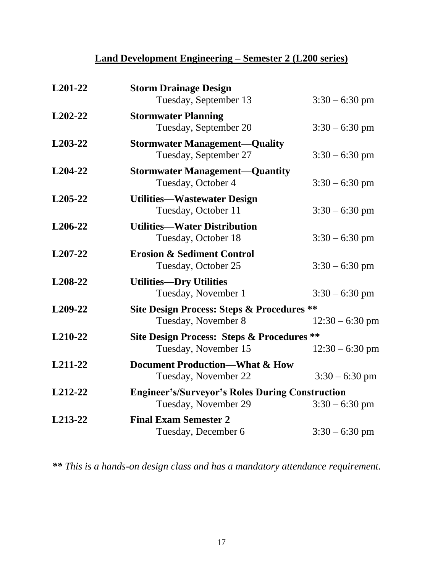### **Land Development Engineering – Semester 2 (L200 series)**

| L201-22              | <b>Storm Drainage Design</b><br>Tuesday, September 13                          | $3:30 - 6:30$ pm  |
|----------------------|--------------------------------------------------------------------------------|-------------------|
| $L202-22$            | <b>Stormwater Planning</b><br>Tuesday, September 20                            | $3:30 - 6:30$ pm  |
| L <sub>203</sub> -22 | <b>Stormwater Management—Quality</b><br>Tuesday, September 27                  | $3:30 - 6:30$ pm  |
| L <sub>204</sub> -22 | <b>Stormwater Management—Quantity</b><br>Tuesday, October 4                    | $3:30 - 6:30$ pm  |
| L <sub>205</sub> -22 | <b>Utilities—Wastewater Design</b><br>Tuesday, October 11                      | $3:30 - 6:30$ pm  |
| L <sub>206</sub> -22 | <b>Utilities—Water Distribution</b><br>Tuesday, October 18                     | $3:30 - 6:30$ pm  |
| L <sub>207</sub> -22 | <b>Erosion &amp; Sediment Control</b><br>Tuesday, October 25                   | $3:30 - 6:30$ pm  |
| L208-22              | <b>Utilities-Dry Utilities</b><br>Tuesday, November 1                          | $3:30 - 6:30$ pm  |
| L <sub>209</sub> -22 | <b>Site Design Process: Steps &amp; Procedures **</b><br>Tuesday, November 8   | $12:30 - 6:30$ pm |
| L210-22              | <b>Site Design Process: Steps &amp; Procedures **</b><br>Tuesday, November 15  | $12:30 - 6:30$ pm |
| L211-22              | <b>Document Production—What &amp; How</b><br>Tuesday, November 22              | $3:30 - 6:30$ pm  |
| L212-22              | <b>Engineer's/Surveyor's Roles During Construction</b><br>Tuesday, November 29 | $3:30 - 6:30$ pm  |
| L213-22              | <b>Final Exam Semester 2</b><br>Tuesday, December 6                            | $3:30 - 6:30$ pm  |

*\*\* This is a hands-on design class and has a mandatory attendance requirement.*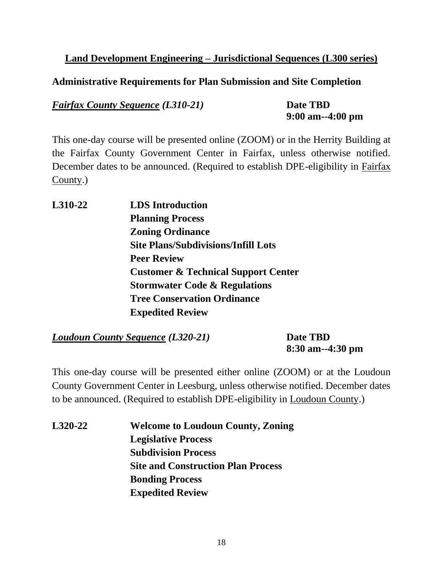#### **Land Development Engineering – Jurisdictional Sequences (L300 series)**

#### **Administrative Requirements for Plan Submission and Site Completion**

*Fairfax County Sequence (L310-21)* **Date TBD**

**9:00 am--4:00 pm**

This one-day course will be presented online (ZOOM) or in the Herrity Building at the Fairfax County Government Center in Fairfax, unless otherwise notified. December dates to be announced. (Required to establish DPE-eligibility in Fairfax County.)

**L310-22 LDS Introduction Planning Process Zoning Ordinance Site Plans/Subdivisions/Infill Lots Peer Review Customer & Technical Support Center Stormwater Code & Regulations Tree Conservation Ordinance Expedited Review**

*Loudoun County Sequence (L320-21)* **Date TBD**

**8:30 am--4:30 pm**

This one-day course will be presented either online (ZOOM) or at the Loudoun County Government Center in Leesburg, unless otherwise notified. December dates to be announced. (Required to establish DPE-eligibility in Loudoun County.)

**L320-22 Welcome to Loudoun County, Zoning Legislative Process Subdivision Process Site and Construction Plan Process Bonding Process Expedited Review**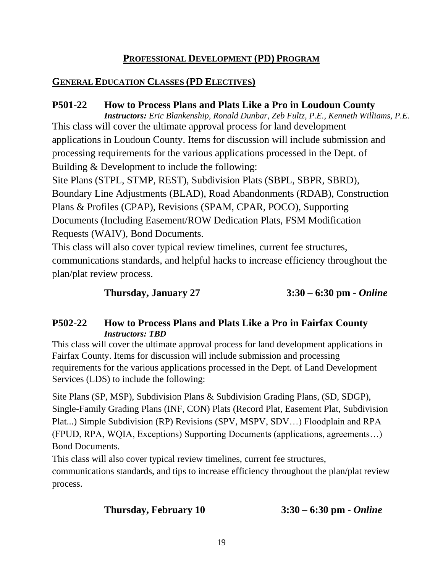#### **PROFESSIONAL DEVELOPMENT (PD) PROGRAM**

#### **GENERAL EDUCATION CLASSES (PD ELECTIVES)**

#### **P501-22 How to Process Plans and Plats Like a Pro in Loudoun County**

*Instructors: Eric Blankenship, Ronald Dunbar, Zeb Fultz, P.E., Kenneth Williams, P.E.* This class will cover the ultimate approval process for land development applications in Loudoun County. Items for discussion will include submission and processing requirements for the various applications processed in the Dept. of Building & Development to include the following: Site Plans (STPL, STMP, REST), Subdivision Plats (SBPL, SBPR, SBRD),

Boundary Line Adjustments (BLAD), Road Abandonments (RDAB), Construction Plans & Profiles (CPAP), Revisions (SPAM, CPAR, POCO), Supporting Documents (Including Easement/ROW Dedication Plats, FSM Modification Requests (WAIV), Bond Documents.

This class will also cover typical review timelines, current fee structures, communications standards, and helpful hacks to increase efficiency throughout the plan/plat review process.

**Thursday, January 27 3:30 – 6:30 pm -** *Online*

#### **P502-22 How to Process Plans and Plats Like a Pro in Fairfax County** *Instructors: TBD*

This class will cover the ultimate approval process for land development applications in Fairfax County. Items for discussion will include submission and processing requirements for the various applications processed in the Dept. of Land Development Services (LDS) to include the following:

Site Plans (SP, MSP), Subdivision Plans & Subdivision Grading Plans, (SD, SDGP), Single-Family Grading Plans (INF, CON) Plats (Record Plat, Easement Plat, Subdivision Plat...) Simple Subdivision (RP) Revisions (SPV, MSPV, SDV…) Floodplain and RPA (FPUD, RPA, WQIA, Exceptions) Supporting Documents (applications, agreements…) Bond Documents.

This class will also cover typical review timelines, current fee structures, communications standards, and tips to increase efficiency throughout the plan/plat review process.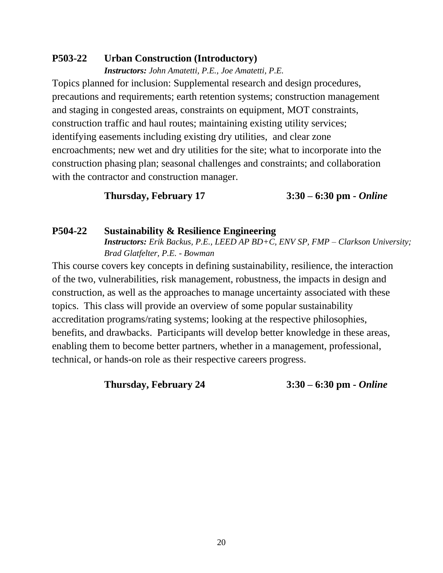#### **P503-22 Urban Construction (Introductory)**

*Instructors: John Amatetti, P.E., Joe Amatetti, P.E.* Topics planned for inclusion: Supplemental research and design procedures, precautions and requirements; earth retention systems; construction management and staging in congested areas, constraints on equipment, MOT constraints, construction traffic and haul routes; maintaining existing utility services; identifying easements including existing dry utilities, and clear zone encroachments; new wet and dry utilities for the site; what to incorporate into the construction phasing plan; seasonal challenges and constraints; and collaboration with the contractor and construction manager.

#### **Thursday, February 17 3:30 – 6:30 pm -** *Online*

#### **P504-22 Sustainability & Resilience Engineering** *Instructors: Erik Backus, P.E., LEED AP BD+C, ENV SP, FMP – Clarkson University; Brad Glatfelter, P.E. - Bowman*

This course covers key concepts in defining sustainability, resilience, the interaction of the two, vulnerabilities, risk management, robustness, the impacts in design and construction, as well as the approaches to manage uncertainty associated with these topics. This class will provide an overview of some popular sustainability accreditation programs/rating systems; looking at the respective philosophies, benefits, and drawbacks. Participants will develop better knowledge in these areas, enabling them to become better partners, whether in a management, professional, technical, or hands-on role as their respective careers progress.

**Thursday, February 24 3:30 – 6:30 pm -** *Online*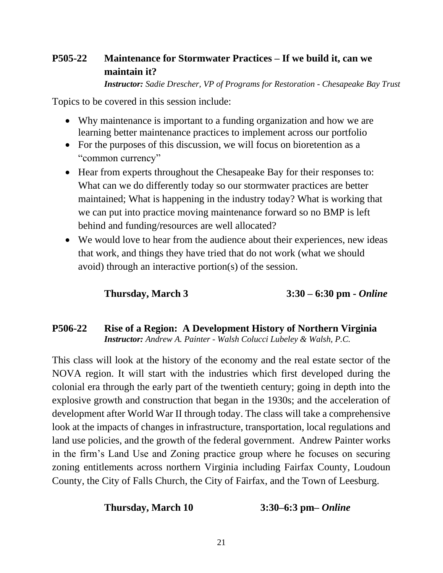### **P505-22 Maintenance for Stormwater Practices – If we build it, can we maintain it?**

*Instructor: Sadie Drescher, VP of Programs for Restoration - [Chesapeake](https://linkprotect.cudasvc.com/url?a=https%3a%2f%2fcbtrust.org%2f&c=E,1,5-jkwETTmRIRuBA5Rr2U0PqeGAfIES0ILQatdm0C1ZiVHGKlr8ErOdjnK_jnkgthD6vkz1vg_9PFrI_FnaNJ55kB_mMoSQ1p9b5ciDDLBWg,&typo=1) Bay Trust*

Topics to be covered in this session include:

- Why maintenance is important to a funding organization and how we are learning better maintenance practices to implement across our portfolio
- For the purposes of this discussion, we will focus on bioretention as a "common currency"
- Hear from experts throughout the Chesapeake Bay for their responses to: What can we do differently today so our stormwater practices are better maintained; What is happening in the industry today? What is working that we can put into practice moving maintenance forward so no BMP is left behind and funding/resources are well allocated?
- We would love to hear from the audience about their experiences, new ideas that work, and things they have tried that do not work (what we should avoid) through an interactive portion(s) of the session.

### **Thursday, March 3 3:30 – 6:30 pm -** *Online*

#### **P506-22 Rise of a Region: A Development History of Northern Virginia**  *Instructor: Andrew A. Painter - Walsh Colucci Lubeley & Walsh, P.C.*

This class will look at the history of the economy and the real estate sector of the NOVA region. It will start with the industries which first developed during the colonial era through the early part of the twentieth century; going in depth into the explosive growth and construction that began in the 1930s; and the acceleration of development after World War II through today. The class will take a comprehensive look at the impacts of changes in infrastructure, transportation, local regulations and land use policies, and the growth of the federal government. Andrew Painter works in the firm's Land Use and Zoning practice group where he focuses on securing zoning entitlements across northern Virginia including Fairfax County, Loudoun County, the City of Falls Church, the City of Fairfax, and the Town of Leesburg.

#### **Thursday, March 10 3:30–6:3 pm–** *Online*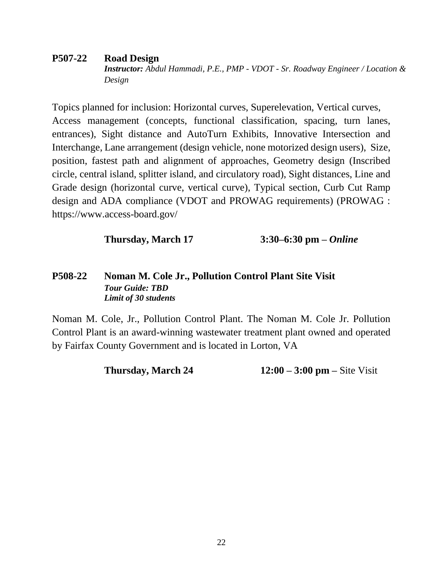#### **P507-22 Road Design**

*Instructor: Abdul Hammadi, P.E., PMP - VDOT - Sr. Roadway Engineer / Location & Design*

Topics planned for inclusion: Horizontal curves, Superelevation, Vertical curves, Access management (concepts, functional classification, spacing, turn lanes, entrances), Sight distance and AutoTurn Exhibits, Innovative Intersection and Interchange, Lane arrangement (design vehicle, none motorized design users), Size, position, fastest path and alignment of approaches, Geometry design (Inscribed circle, central island, splitter island, and circulatory road), Sight distances, Line and Grade design (horizontal curve, vertical curve), Typical section, Curb Cut Ramp design and ADA compliance (VDOT and PROWAG requirements) (PROWAG : https://www.access-board.gov/

**Thursday, March 17 3:30–6:30 pm –** *Online*

#### **P508-22 Noman M. Cole Jr., Pollution Control Plant Site Visit** *Tour Guide: TBD Limit of 30 students*

Noman M. Cole, Jr., Pollution Control Plant. The Noman M. Cole Jr. Pollution Control Plant is an award-winning wastewater treatment plant owned and operated by Fairfax County Government and is located in Lorton, VA

**Thursday, March 24** 12:00 – 3:00 pm – Site Visit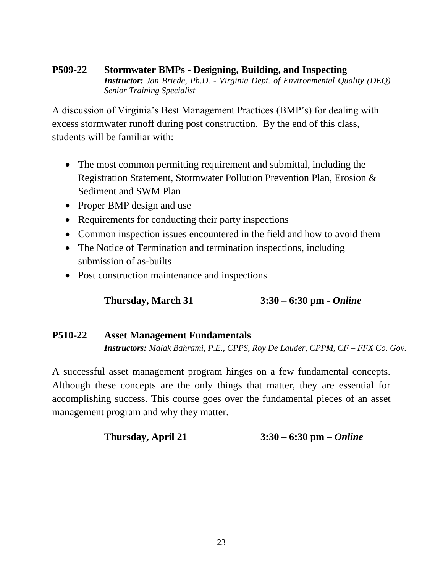#### **P509-22 Stormwater BMPs - Designing, Building, and Inspecting** *Instructor: Jan Briede, Ph.D. - Virginia Dept. of Environmental Quality (DEQ) Senior Training Specialist*

A discussion of Virginia's Best Management Practices (BMP's) for dealing with excess stormwater runoff during post construction. By the end of this class, students will be familiar with:

- The most common permitting requirement and submittal, including the Registration Statement, Stormwater Pollution Prevention Plan, Erosion & Sediment and SWM Plan
- Proper BMP design and use
- Requirements for conducting their party inspections
- Common inspection issues encountered in the field and how to avoid them
- The Notice of Termination and termination inspections, including submission of as-builts
- Post construction maintenance and inspections

**Thursday, March 31 3:30 – 6:30 pm -** *Online*

#### **P510-22 Asset Management Fundamentals** *Instructors: Malak Bahrami, P.E., CPPS, Roy De Lauder, CPPM, CF – FFX Co. Gov.*

A successful asset management program hinges on a few fundamental concepts. Although these concepts are the only things that matter, they are essential for accomplishing success. This course goes over the fundamental pieces of an asset management program and why they matter.

**Thursday, April 21 3:30 – 6:30 pm –** *Online*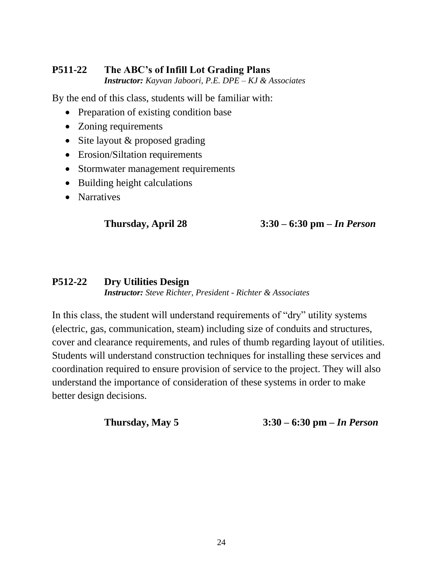#### **P511-22 The ABC's of Infill Lot Grading Plans** *Instructor: Kayvan Jaboori, P.E. DPE – KJ & Associates*

By the end of this class, students will be familiar with:

- Preparation of existing condition base
- Zoning requirements
- Site layout & proposed grading
- Erosion/Siltation requirements
- Stormwater management requirements
- Building height calculations
- Narratives

**Thursday, April 28 3:30 – 6:30 pm –** *In Person*

#### **P512-22 Dry Utilities Design** *Instructor: Steve Richter, President - Richter & Associates*

In this class, the student will understand requirements of "dry" utility systems (electric, gas, communication, steam) including size of conduits and structures, cover and clearance requirements, and rules of thumb regarding layout of utilities. Students will understand construction techniques for installing these services and coordination required to ensure provision of service to the project. They will also understand the importance of consideration of these systems in order to make better design decisions.

**Thursday, May 5 3:30 – 6:30 pm –** *In Person*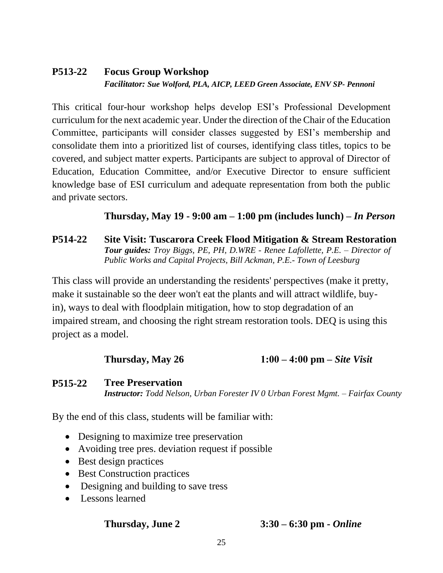### **P513-22 Focus Group Workshop** *Facilitator: Sue Wolford, PLA, AICP, LEED Green Associate, ENV SP- Pennoni*

This critical four-hour workshop helps develop ESI's Professional Development curriculum for the next academic year. Under the direction of the Chair of the Education Committee, participants will consider classes suggested by ESI's membership and consolidate them into a prioritized list of courses, identifying class titles, topics to be covered, and subject matter experts. Participants are subject to approval of Director of Education, Education Committee, and/or Executive Director to ensure sufficient knowledge base of ESI curriculum and adequate representation from both the public and private sectors.

#### **Thursday, May 19 - 9:00 am – 1:00 pm (includes lunch) –** *In Person*

#### **P514-22 Site Visit: Tuscarora Creek Flood Mitigation & Stream Restoration** *Tour guides: Troy Biggs, PE, PH, D.WRE - Renee Lafollette, P.E. – Director of Public Works and Capital Projects, Bill Ackman, P.E.- Town of Leesburg*

This class will provide an understanding the residents' perspectives (make it pretty, make it sustainable so the deer won't eat the plants and will attract wildlife, buyin), ways to deal with floodplain mitigation, how to stop degradation of an impaired stream, and choosing the right stream restoration tools. DEQ is using this project as a model.

#### **Thursday, May 26 1:00 – 4:00 pm –** *Site Visit*

#### **P515-22 Tree Preservation**

*Instructor: Todd Nelson, Urban Forester IV 0 Urban Forest Mgmt. – Fairfax County*

By the end of this class, students will be familiar with:

- Designing to maximize tree preservation
- Avoiding tree pres. deviation request if possible
- Best design practices
- Best Construction practices
- Designing and building to save tress
- Lessons learned

### **Thursday, June 2 3:30 – 6:30 pm -** *Online*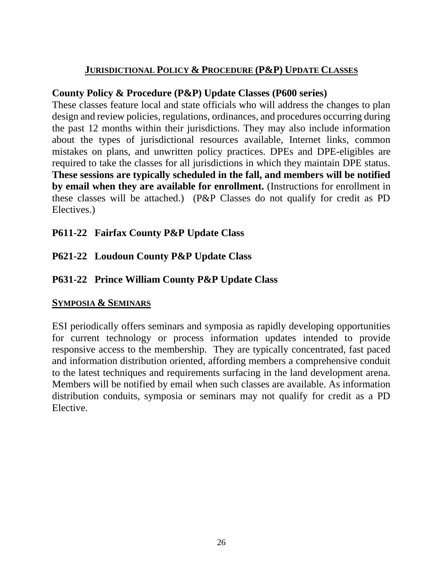#### **JURISDICTIONAL POLICY & PROCEDURE (P&P) UPDATE CLASSES**

#### **County Policy & Procedure (P&P) Update Classes (P600 series)**

These classes feature local and state officials who will address the changes to plan design and review policies, regulations, ordinances, and procedures occurring during the past 12 months within their jurisdictions. They may also include information about the types of jurisdictional resources available, Internet links, common mistakes on plans, and unwritten policy practices. DPEs and DPE-eligibles are required to take the classes for all jurisdictions in which they maintain DPE status. **These sessions are typically scheduled in the fall, and members will be notified by email when they are available for enrollment.** (Instructions for enrollment in these classes will be attached.) (P&P Classes do not qualify for credit as PD Electives.)

### **P611-22 Fairfax County P&P Update Class**

### **P621-22 Loudoun County P&P Update Class**

### **P631-22 Prince William County P&P Update Class**

#### **SYMPOSIA & SEMINARS**

ESI periodically offers seminars and symposia as rapidly developing opportunities for current technology or process information updates intended to provide responsive access to the membership. They are typically concentrated, fast paced and information distribution oriented, affording members a comprehensive conduit to the latest techniques and requirements surfacing in the land development arena. Members will be notified by email when such classes are available. As information distribution conduits, symposia or seminars may not qualify for credit as a PD Elective.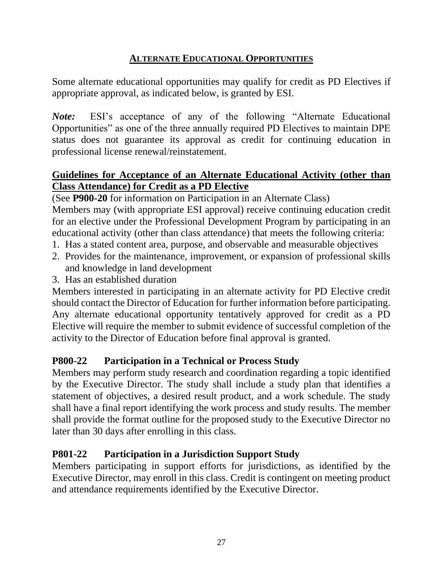#### **ALTERNATE EDUCATIONAL OPPORTUNITIES**

Some alternate educational opportunities may qualify for credit as PD Electives if appropriate approval, as indicated below, is granted by ESI.

*Note:* ESI's acceptance of any of the following "Alternate Educational Opportunities" as one of the three annually required PD Electives to maintain DPE status does not guarantee its approval as credit for continuing education in professional license renewal/reinstatement.

### **Guidelines for Acceptance of an Alternate Educational Activity (other than Class Attendance) for Credit as a PD Elective**

(See **P900-20** for information on Participation in an Alternate Class)

Members may (with appropriate ESI approval) receive continuing education credit for an elective under the Professional Development Program by participating in an educational activity (other than class attendance) that meets the following criteria:

- 1. Has a stated content area, purpose, and observable and measurable objectives
- 2. Provides for the maintenance, improvement, or expansion of professional skills and knowledge in land development
- 3. Has an established duration

Members interested in participating in an alternate activity for PD Elective credit should contact the Director of Education for further information before participating. Any alternate educational opportunity tentatively approved for credit as a PD Elective will require the member to submit evidence of successful completion of the activity to the Director of Education before final approval is granted.

#### **P800-22 Participation in a Technical or Process Study**

Members may perform study research and coordination regarding a topic identified by the Executive Director. The study shall include a study plan that identifies a statement of objectives, a desired result product, and a work schedule. The study shall have a final report identifying the work process and study results. The member shall provide the format outline for the proposed study to the Executive Director no later than 30 days after enrolling in this class.

#### **P801-22 Participation in a Jurisdiction Support Study**

Members participating in support efforts for jurisdictions, as identified by the Executive Director, may enroll in this class. Credit is contingent on meeting product and attendance requirements identified by the Executive Director.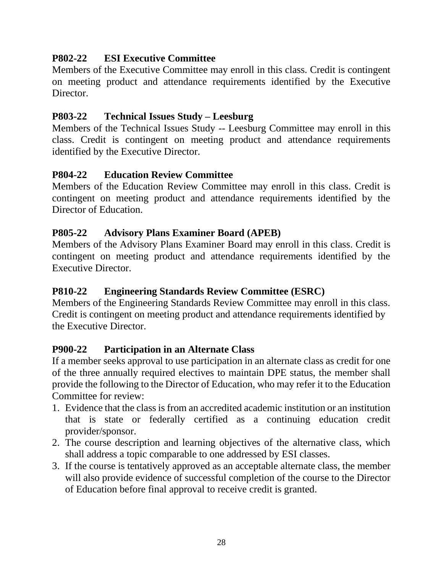### **P802-22 ESI Executive Committee**

Members of the Executive Committee may enroll in this class. Credit is contingent on meeting product and attendance requirements identified by the Executive Director

#### **P803-22 Technical Issues Study – Leesburg**

Members of the Technical Issues Study -- Leesburg Committee may enroll in this class. Credit is contingent on meeting product and attendance requirements identified by the Executive Director.

#### **P804-22 Education Review Committee**

Members of the Education Review Committee may enroll in this class. Credit is contingent on meeting product and attendance requirements identified by the Director of Education.

#### **P805-22 Advisory Plans Examiner Board (APEB)**

Members of the Advisory Plans Examiner Board may enroll in this class. Credit is contingent on meeting product and attendance requirements identified by the Executive Director.

#### **P810-22 Engineering Standards Review Committee (ESRC)**

Members of the Engineering Standards Review Committee may enroll in this class. Credit is contingent on meeting product and attendance requirements identified by the Executive Director.

#### **P900-22 Participation in an Alternate Class**

If a member seeks approval to use participation in an alternate class as credit for one of the three annually required electives to maintain DPE status, the member shall provide the following to the Director of Education, who may refer it to the Education Committee for review:

- 1. Evidence that the class is from an accredited academic institution or an institution that is state or federally certified as a continuing education credit provider/sponsor.
- 2. The course description and learning objectives of the alternative class, which shall address a topic comparable to one addressed by ESI classes.
- 3. If the course is tentatively approved as an acceptable alternate class, the member will also provide evidence of successful completion of the course to the Director of Education before final approval to receive credit is granted.